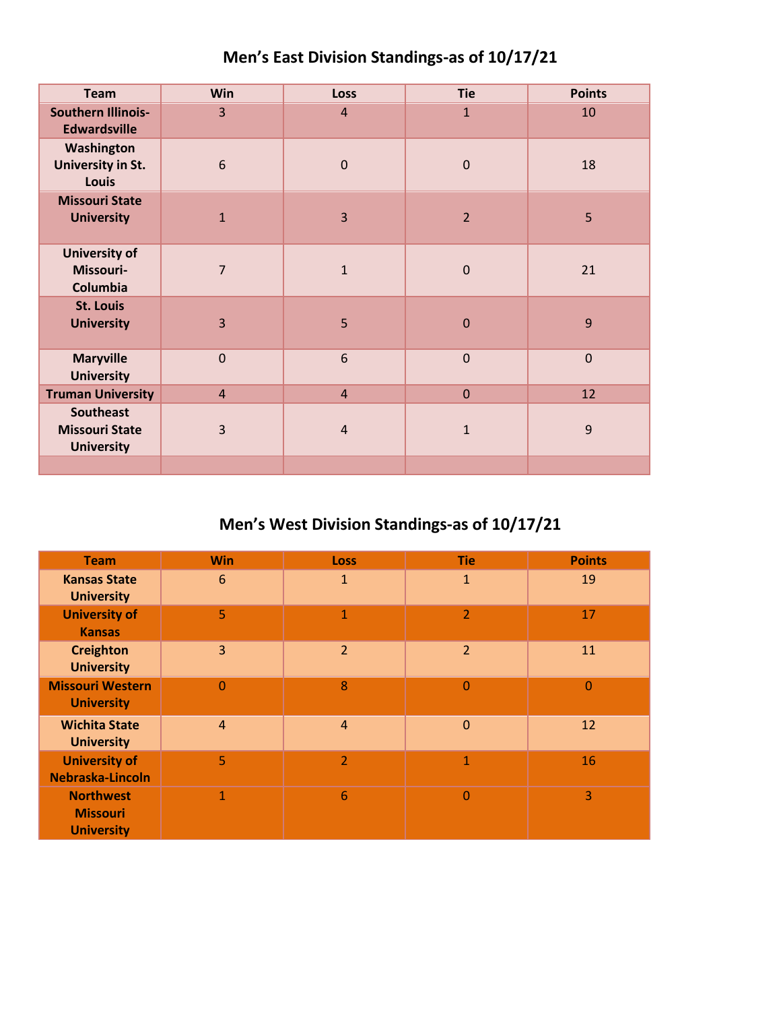|  | Men's East Division Standings-as of 10/17/21 |  |
|--|----------------------------------------------|--|
|--|----------------------------------------------|--|

| <b>Team</b>                                                    | <b>Win</b>     | <b>Loss</b>    | <b>Tie</b>     | <b>Points</b> |
|----------------------------------------------------------------|----------------|----------------|----------------|---------------|
| <b>Southern Illinois-</b><br><b>Edwardsville</b>               | $\overline{3}$ | $\overline{4}$ | $\mathbf{1}$   | 10            |
| Washington<br>University in St.<br><b>Louis</b>                | 6              | $\mathbf 0$    | $\mathbf 0$    | 18            |
| <b>Missouri State</b><br><b>University</b>                     | $\mathbf{1}$   | 3              | $\overline{2}$ | 5             |
| <b>University of</b><br>Missouri-<br>Columbia                  | $\overline{7}$ | $\mathbf{1}$   | $\mathbf 0$    | 21            |
| <b>St. Louis</b><br><b>University</b>                          | 3              | 5              | $\mathbf 0$    | 9             |
| <b>Maryville</b><br><b>University</b>                          | $\mathbf 0$    | 6              | $\mathbf 0$    | $\mathbf 0$   |
| <b>Truman University</b>                                       | $\overline{4}$ | $\overline{4}$ | $\mathbf{0}$   | 12            |
| <b>Southeast</b><br><b>Missouri State</b><br><b>University</b> | 3              | $\overline{4}$ | $\mathbf{1}$   | 9             |
|                                                                |                |                |                |               |

## **Men's West Division Standings-as of 10/17/21**

| <b>Team</b>                                              | <b>Win</b>     | <b>Loss</b>    | <b>Tie</b>     | <b>Points</b>  |
|----------------------------------------------------------|----------------|----------------|----------------|----------------|
| <b>Kansas State</b><br><b>University</b>                 | 6              | $\mathbf{1}$   | $\mathbf{1}$   | 19             |
| <b>University of</b><br><b>Kansas</b>                    | 5              | $\mathbf{1}$   | $\overline{2}$ | 17             |
| <b>Creighton</b><br><b>University</b>                    | 3              | $\overline{2}$ | $\overline{2}$ | 11             |
| <b>Missouri Western</b><br><b>University</b>             | $\overline{0}$ | 8              | $\mathbf 0$    | $\overline{0}$ |
| <b>Wichita State</b><br><b>University</b>                | $\overline{4}$ | $\overline{4}$ | $\overline{0}$ | 12             |
| <b>University of</b><br>Nebraska-Lincoln                 | 5              | $\overline{2}$ | $\mathbf{1}$   | 16             |
| <b>Northwest</b><br><b>Missouri</b><br><b>University</b> | 1              | 6              | 0              | 3              |